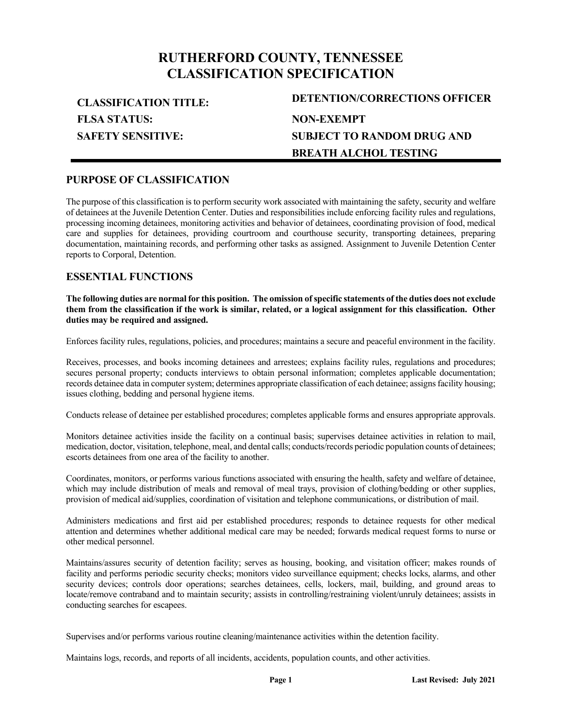# **RUTHERFORD COUNTY, TENNESSEE CLASSIFICATION SPECIFICATION**

**FLSA STATUS: SAFETY SENSITIVE:**

**CLASSIFICATION TITLE: DETENTION/CORRECTIONS OFFICER NON-EXEMPT SUBJECT TO RANDOM DRUG AND BREATH ALCHOL TESTING**

### **PURPOSE OF CLASSIFICATION**

The purpose of this classification is to perform security work associated with maintaining the safety, security and welfare of detainees at the Juvenile Detention Center. Duties and responsibilities include enforcing facility rules and regulations, processing incoming detainees, monitoring activities and behavior of detainees, coordinating provision of food, medical care and supplies for detainees, providing courtroom and courthouse security, transporting detainees, preparing documentation, maintaining records, and performing other tasks as assigned. Assignment to Juvenile Detention Center reports to Corporal, Detention.

### **ESSENTIAL FUNCTIONS**

**The following duties are normal for this position. The omission of specific statements of the duties does not exclude them from the classification if the work is similar, related, or a logical assignment for this classification. Other duties may be required and assigned.**

Enforces facility rules, regulations, policies, and procedures; maintains a secure and peaceful environment in the facility.

Receives, processes, and books incoming detainees and arrestees; explains facility rules, regulations and procedures; secures personal property; conducts interviews to obtain personal information; completes applicable documentation; records detainee data in computer system; determines appropriate classification of each detainee; assigns facility housing; issues clothing, bedding and personal hygiene items.

Conducts release of detainee per established procedures; completes applicable forms and ensures appropriate approvals.

Monitors detainee activities inside the facility on a continual basis; supervises detainee activities in relation to mail, medication, doctor, visitation, telephone, meal, and dental calls; conducts/records periodic population counts of detainees; escorts detainees from one area of the facility to another.

Coordinates, monitors, or performs various functions associated with ensuring the health, safety and welfare of detainee, which may include distribution of meals and removal of meal trays, provision of clothing/bedding or other supplies, provision of medical aid/supplies, coordination of visitation and telephone communications, or distribution of mail.

Administers medications and first aid per established procedures; responds to detainee requests for other medical attention and determines whether additional medical care may be needed; forwards medical request forms to nurse or other medical personnel.

Maintains/assures security of detention facility; serves as housing, booking, and visitation officer; makes rounds of facility and performs periodic security checks; monitors video surveillance equipment; checks locks, alarms, and other security devices; controls door operations; searches detainees, cells, lockers, mail, building, and ground areas to locate/remove contraband and to maintain security; assists in controlling/restraining violent/unruly detainees; assists in conducting searches for escapees.

Supervises and/or performs various routine cleaning/maintenance activities within the detention facility.

Maintains logs, records, and reports of all incidents, accidents, population counts, and other activities.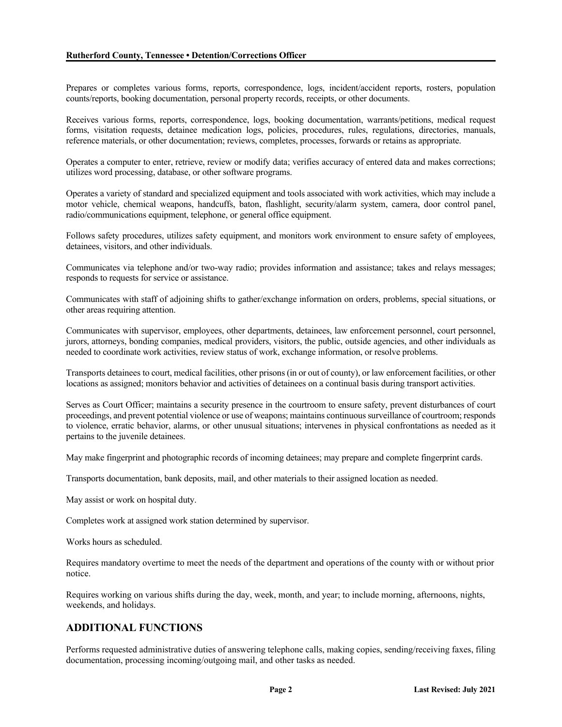Prepares or completes various forms, reports, correspondence, logs, incident/accident reports, rosters, population counts/reports, booking documentation, personal property records, receipts, or other documents.

Receives various forms, reports, correspondence, logs, booking documentation, warrants/petitions, medical request forms, visitation requests, detainee medication logs, policies, procedures, rules, regulations, directories, manuals, reference materials, or other documentation; reviews, completes, processes, forwards or retains as appropriate.

Operates a computer to enter, retrieve, review or modify data; verifies accuracy of entered data and makes corrections; utilizes word processing, database, or other software programs.

Operates a variety of standard and specialized equipment and tools associated with work activities, which may include a motor vehicle, chemical weapons, handcuffs, baton, flashlight, security/alarm system, camera, door control panel, radio/communications equipment, telephone, or general office equipment.

Follows safety procedures, utilizes safety equipment, and monitors work environment to ensure safety of employees, detainees, visitors, and other individuals.

Communicates via telephone and/or two-way radio; provides information and assistance; takes and relays messages; responds to requests for service or assistance.

Communicates with staff of adjoining shifts to gather/exchange information on orders, problems, special situations, or other areas requiring attention.

Communicates with supervisor, employees, other departments, detainees, law enforcement personnel, court personnel, jurors, attorneys, bonding companies, medical providers, visitors, the public, outside agencies, and other individuals as needed to coordinate work activities, review status of work, exchange information, or resolve problems.

Transports detainees to court, medical facilities, other prisons (in or out of county), or law enforcement facilities, or other locations as assigned; monitors behavior and activities of detainees on a continual basis during transport activities.

Serves as Court Officer; maintains a security presence in the courtroom to ensure safety, prevent disturbances of court proceedings, and prevent potential violence or use of weapons; maintains continuous surveillance of courtroom; responds to violence, erratic behavior, alarms, or other unusual situations; intervenes in physical confrontations as needed as it pertains to the juvenile detainees.

May make fingerprint and photographic records of incoming detainees; may prepare and complete fingerprint cards.

Transports documentation, bank deposits, mail, and other materials to their assigned location as needed.

May assist or work on hospital duty.

Completes work at assigned work station determined by supervisor.

Works hours as scheduled.

Requires mandatory overtime to meet the needs of the department and operations of the county with or without prior notice.

Requires working on various shifts during the day, week, month, and year; to include morning, afternoons, nights, weekends, and holidays.

## **ADDITIONAL FUNCTIONS**

Performs requested administrative duties of answering telephone calls, making copies, sending/receiving faxes, filing documentation, processing incoming/outgoing mail, and other tasks as needed.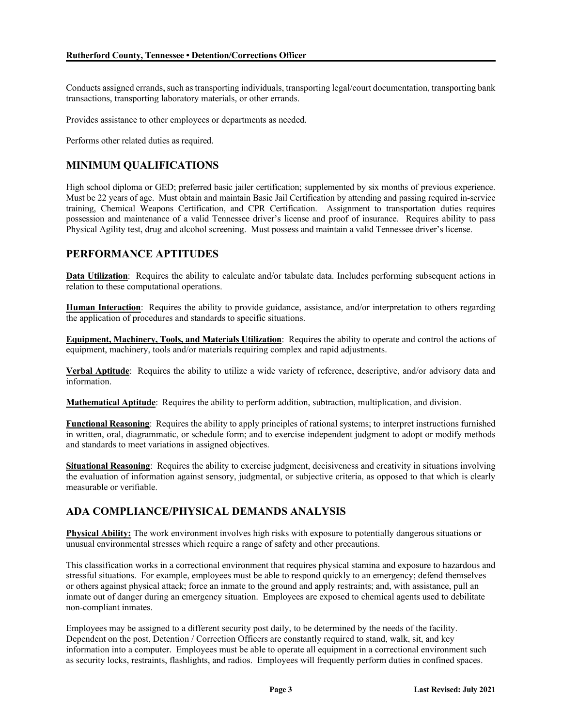Conducts assigned errands, such as transporting individuals, transporting legal/court documentation, transporting bank transactions, transporting laboratory materials, or other errands.

Provides assistance to other employees or departments as needed.

Performs other related duties as required.

# **MINIMUM QUALIFICATIONS**

High school diploma or GED; preferred basic jailer certification; supplemented by six months of previous experience. Must be 22 years of age. Must obtain and maintain Basic Jail Certification by attending and passing required in-service training, Chemical Weapons Certification, and CPR Certification. Assignment to transportation duties requires possession and maintenance of a valid Tennessee driver's license and proof of insurance. Requires ability to pass Physical Agility test, drug and alcohol screening. Must possess and maintain a valid Tennessee driver's license.

### **PERFORMANCE APTITUDES**

**Data Utilization**: Requires the ability to calculate and/or tabulate data. Includes performing subsequent actions in relation to these computational operations.

**Human Interaction**: Requires the ability to provide guidance, assistance, and/or interpretation to others regarding the application of procedures and standards to specific situations.

**Equipment, Machinery, Tools, and Materials Utilization**: Requires the ability to operate and control the actions of equipment, machinery, tools and/or materials requiring complex and rapid adjustments.

**Verbal Aptitude**: Requires the ability to utilize a wide variety of reference, descriptive, and/or advisory data and information.

**Mathematical Aptitude**: Requires the ability to perform addition, subtraction, multiplication, and division.

**Functional Reasoning**: Requires the ability to apply principles of rational systems; to interpret instructions furnished in written, oral, diagrammatic, or schedule form; and to exercise independent judgment to adopt or modify methods and standards to meet variations in assigned objectives.

**Situational Reasoning**: Requires the ability to exercise judgment, decisiveness and creativity in situations involving the evaluation of information against sensory, judgmental, or subjective criteria, as opposed to that which is clearly measurable or verifiable.

# **ADA COMPLIANCE/PHYSICAL DEMANDS ANALYSIS**

**Physical Ability:** The work environment involves high risks with exposure to potentially dangerous situations or unusual environmental stresses which require a range of safety and other precautions.

This classification works in a correctional environment that requires physical stamina and exposure to hazardous and stressful situations. For example, employees must be able to respond quickly to an emergency; defend themselves or others against physical attack; force an inmate to the ground and apply restraints; and, with assistance, pull an inmate out of danger during an emergency situation. Employees are exposed to chemical agents used to debilitate non-compliant inmates.

Employees may be assigned to a different security post daily, to be determined by the needs of the facility. Dependent on the post, Detention / Correction Officers are constantly required to stand, walk, sit, and key information into a computer. Employees must be able to operate all equipment in a correctional environment such as security locks, restraints, flashlights, and radios. Employees will frequently perform duties in confined spaces.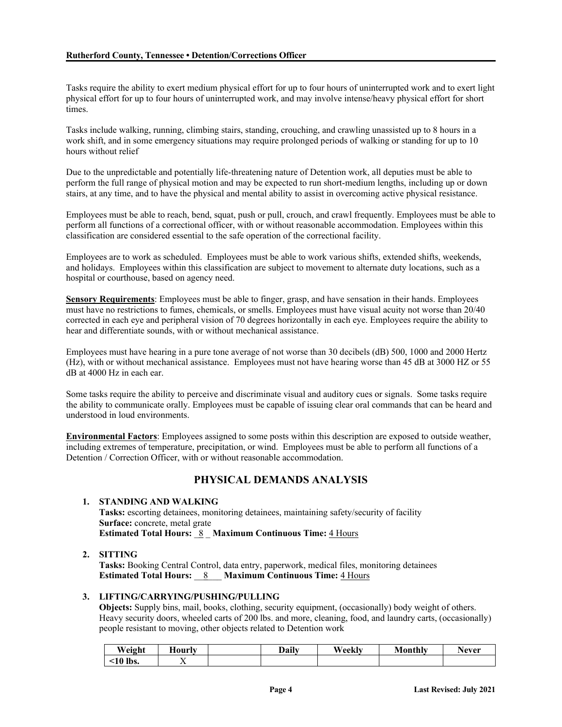Tasks require the ability to exert medium physical effort for up to four hours of uninterrupted work and to exert light physical effort for up to four hours of uninterrupted work, and may involve intense/heavy physical effort for short times.

Tasks include walking, running, climbing stairs, standing, crouching, and crawling unassisted up to 8 hours in a work shift, and in some emergency situations may require prolonged periods of walking or standing for up to 10 hours without relief

Due to the unpredictable and potentially life-threatening nature of Detention work, all deputies must be able to perform the full range of physical motion and may be expected to run short-medium lengths, including up or down stairs, at any time, and to have the physical and mental ability to assist in overcoming active physical resistance.

Employees must be able to reach, bend, squat, push or pull, crouch, and crawl frequently. Employees must be able to perform all functions of a correctional officer, with or without reasonable accommodation. Employees within this classification are considered essential to the safe operation of the correctional facility.

Employees are to work as scheduled. Employees must be able to work various shifts, extended shifts, weekends, and holidays. Employees within this classification are subject to movement to alternate duty locations, such as a hospital or courthouse, based on agency need.

**Sensory Requirements**: Employees must be able to finger, grasp, and have sensation in their hands. Employees must have no restrictions to fumes, chemicals, or smells. Employees must have visual acuity not worse than 20/40 corrected in each eye and peripheral vision of 70 degrees horizontally in each eye. Employees require the ability to hear and differentiate sounds, with or without mechanical assistance.

Employees must have hearing in a pure tone average of not worse than 30 decibels (dB) 500, 1000 and 2000 Hertz (Hz), with or without mechanical assistance. Employees must not have hearing worse than 45 dB at 3000 HZ or 55 dB at 4000 Hz in each ear.

Some tasks require the ability to perceive and discriminate visual and auditory cues or signals. Some tasks require the ability to communicate orally. Employees must be capable of issuing clear oral commands that can be heard and understood in loud environments.

**Environmental Factors**: Employees assigned to some posts within this description are exposed to outside weather, including extremes of temperature, precipitation, or wind. Employees must be able to perform all functions of a Detention / Correction Officer, with or without reasonable accommodation.

# **PHYSICAL DEMANDS ANALYSIS**

#### **1. STANDING AND WALKING**

**Tasks:** escorting detainees, monitoring detainees, maintaining safety/security of facility **Surface:** concrete, metal grate **Estimated Total Hours:** \_8 \_ **Maximum Continuous Time:** 4 Hours

#### **2. SITTING**

**Tasks:** Booking Central Control, data entry, paperwork, medical files, monitoring detainees **Estimated Total Hours:** \_\_8\_\_\_ **Maximum Continuous Time:** 4 Hours

#### **3. LIFTING/CARRYING/PUSHING/PULLING**

**Objects:** Supply bins, mail, books, clothing, security equipment, (occasionally) body weight of others. Heavy security doors, wheeled carts of 200 lbs. and more, cleaning, food, and laundry carts, (occasionally) people resistant to moving, other objects related to Detention work

| Weight      | 40urly                   | Daily | Weekly | Monthly | Never |
|-------------|--------------------------|-------|--------|---------|-------|
| lbs.<br>:10 | $\overline{\phantom{a}}$ |       |        |         |       |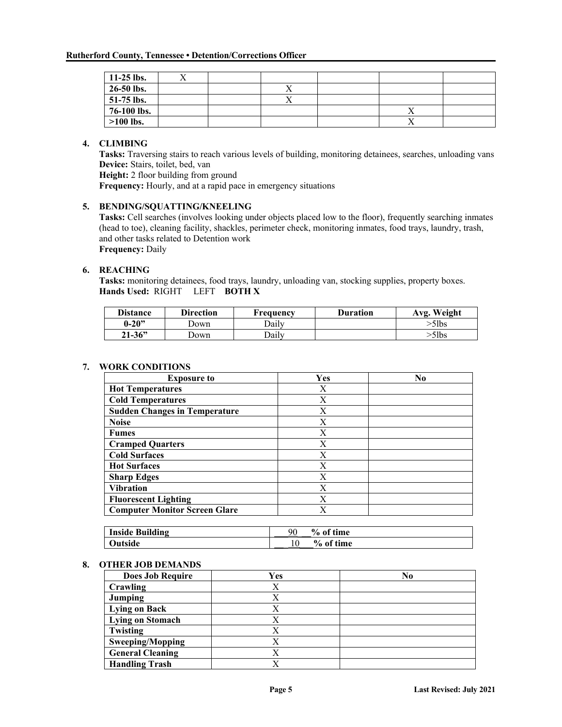| $11-25$ lbs. |  |  |  |
|--------------|--|--|--|
| $26-50$ lbs. |  |  |  |
| $51-75$ lbs. |  |  |  |
| 76-100 lbs.  |  |  |  |
| $>100$ lbs.  |  |  |  |

#### **4. CLIMBING**

**Tasks:** Traversing stairs to reach various levels of building, monitoring detainees, searches, unloading vans **Device:** Stairs, toilet, bed, van

**Height:** 2 floor building from ground

**Frequency:** Hourly, and at a rapid pace in emergency situations

#### **5. BENDING/SQUATTING/KNEELING**

**Tasks:** Cell searches (involves looking under objects placed low to the floor), frequently searching inmates (head to toe), cleaning facility, shackles, perimeter check, monitoring inmates, food trays, laundry, trash, and other tasks related to Detention work **Frequency:** Daily

#### **6. REACHING**

**Tasks:** monitoring detainees, food trays, laundry, unloading van, stocking supplies, property boxes. **Hands Used:** RIGHT LEFT **BOTH X**

| <b>Distance</b> | <b>Direction</b> | <b>Frequency</b> | <b>Duration</b> | Avg. Weight |
|-----------------|------------------|------------------|-----------------|-------------|
| $0 - 20$ "      | Jown             | Dailv            |                 | >5lbs       |
| $21 - 36"$      | Jown             | Daily            |                 | >5lbs       |

#### **7. WORK CONDITIONS**

| <b>Exposure to</b>                   | Yes | No |
|--------------------------------------|-----|----|
| <b>Hot Temperatures</b>              | X   |    |
| <b>Cold Temperatures</b>             | X   |    |
| <b>Sudden Changes in Temperature</b> | X   |    |
| <b>Noise</b>                         | X   |    |
| <b>Fumes</b>                         | X   |    |
| <b>Cramped Quarters</b>              | X   |    |
| <b>Cold Surfaces</b>                 | X   |    |
| <b>Hot Surfaces</b>                  | X   |    |
| <b>Sharp Edges</b>                   | X   |    |
| <b>Vibration</b>                     | X   |    |
| <b>Fluorescent Lighting</b>          | X   |    |
| <b>Computer Monitor Screen Glare</b> | X   |    |

| <b>Inside Building</b> | $\frac{6}{10}$<br>90<br>of time |
|------------------------|---------------------------------|
| <b>Dutside</b>         | % of time                       |

#### **8. OTHER JOB DEMANDS**

| <b>Does Job Require</b> | Yes | No |
|-------------------------|-----|----|
| Crawling                | Х   |    |
| Jumping                 | Χ   |    |
| <b>Lying on Back</b>    | X   |    |
| Lying on Stomach        | Х   |    |
| Twisting                | Χ   |    |
| Sweeping/Mopping        | X   |    |
| <b>General Cleaning</b> | X   |    |
| <b>Handling Trash</b>   | X   |    |